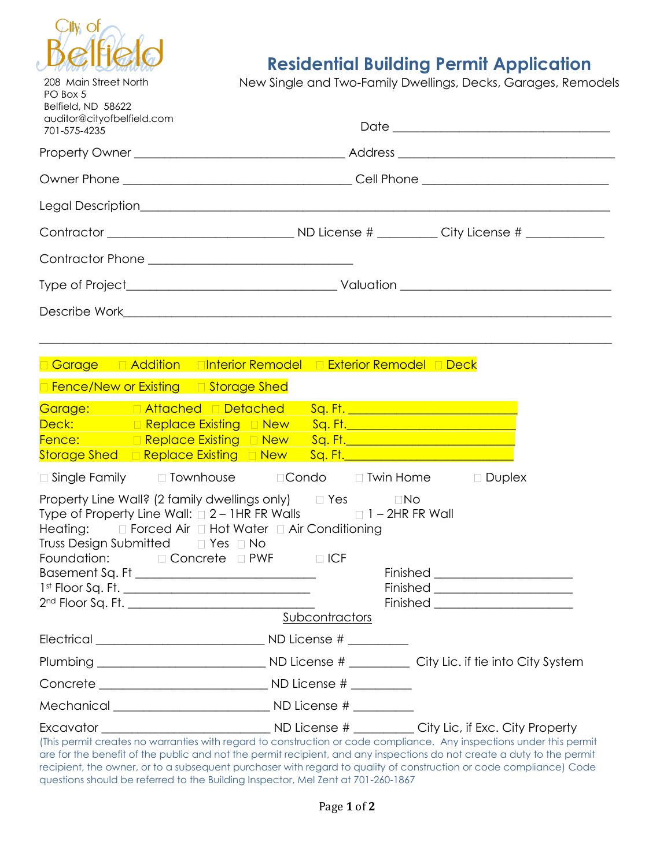

208 Main Street North

## **Residential Building Permit Application**

New Single and Two-Family Dwellings, Decks, Garages, Remodels

| PO Box 5<br>Belfield, ND 58622<br>auditor@cityofbelfield.com<br>701-575-4235 |                                                                                                                                                                                                                                                                                                                                                                                                    |                |                                                                                                                      |
|------------------------------------------------------------------------------|----------------------------------------------------------------------------------------------------------------------------------------------------------------------------------------------------------------------------------------------------------------------------------------------------------------------------------------------------------------------------------------------------|----------------|----------------------------------------------------------------------------------------------------------------------|
|                                                                              |                                                                                                                                                                                                                                                                                                                                                                                                    |                |                                                                                                                      |
|                                                                              |                                                                                                                                                                                                                                                                                                                                                                                                    |                |                                                                                                                      |
|                                                                              |                                                                                                                                                                                                                                                                                                                                                                                                    |                |                                                                                                                      |
|                                                                              |                                                                                                                                                                                                                                                                                                                                                                                                    |                |                                                                                                                      |
|                                                                              | Contractor Phone _______________________________                                                                                                                                                                                                                                                                                                                                                   |                |                                                                                                                      |
|                                                                              |                                                                                                                                                                                                                                                                                                                                                                                                    |                |                                                                                                                      |
|                                                                              |                                                                                                                                                                                                                                                                                                                                                                                                    |                |                                                                                                                      |
|                                                                              |                                                                                                                                                                                                                                                                                                                                                                                                    |                |                                                                                                                      |
|                                                                              | <b>□ Garage · □ Addition · □Interior Remodel · □ Exterior Remodel · □ Deck</b><br>□ Fence/New or Existing □ Storage Shed                                                                                                                                                                                                                                                                           |                |                                                                                                                      |
|                                                                              | Garage: Attached Detached Sq.Ft. 1998 1999<br>Deck: Replace Existing D New Sq. Ft. 2008 2014 2020<br>Fence: Replace Existing D New Sq. Ft. 2008 2009 2009 2009<br>Storage Shed <b>Example 2 Replace Existing Example 2 Revige Contract Contract Property Contract Property Contract Property Contract Property Contract Property Contract Property Contract Property Contract Property Contrac</b> |                |                                                                                                                      |
|                                                                              | $\Box$ Single Family $\Box$ Townhouse $\Box$ Condo $\Box$ Twin Home $\Box$ Duplex                                                                                                                                                                                                                                                                                                                  |                |                                                                                                                      |
|                                                                              | Property Line Wall? (2 family dwellings only) $\Box$ Yes $\Box$ No<br>Type of Property Line Wall: $\Box$ 2 – 1HR FR Walls $\Box$ 1 – 2HR FR Wall<br>Heating: $\square$ Forced Air $\square$ Hot Water $\square$ Air Conditioning<br>Truss Design Submitted □ Yes □ No<br>Foundation: □ Concrete □ PWF                                                                                              | D ICF          | Finished <u>___________________________</u><br>Finished _______________________                                      |
|                                                                              |                                                                                                                                                                                                                                                                                                                                                                                                    | Subcontractors |                                                                                                                      |
|                                                                              |                                                                                                                                                                                                                                                                                                                                                                                                    |                |                                                                                                                      |
|                                                                              |                                                                                                                                                                                                                                                                                                                                                                                                    |                |                                                                                                                      |
|                                                                              |                                                                                                                                                                                                                                                                                                                                                                                                    |                |                                                                                                                      |
|                                                                              |                                                                                                                                                                                                                                                                                                                                                                                                    |                |                                                                                                                      |
|                                                                              |                                                                                                                                                                                                                                                                                                                                                                                                    |                | (This permit creates no warranties with regard to construction or code compliance. Any inspections under this permit |

(This permit creates no warranties with regard to construction or code compliance. Any inspections under this permit are for the benefit of the public and not the permit recipient, and any inspections do not create a duty to the permit recipient, the owner, or to a subsequent purchaser with regard to quality of construction or code compliance) Code questions should be referred to the Building Inspector, Mel Zent at 701-260-1867